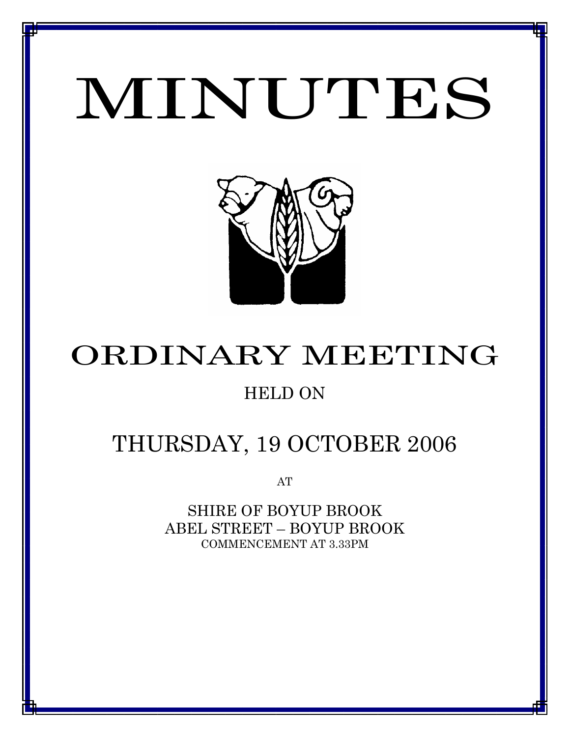# MINUTES

*MINUTES OF THE ORDINARY MEETING OF COUNCIL HELD ON 19 OCTOBER 2006*



## ORDINARY MEETING

## HELD ON

## THURSDAY, 19 OCTOBER 2006

AT

SHIRE OF BOYUP BROOK ABEL STREET – BOYUP BROOK COMMENCEMENT AT 3.33PM

<u>1 - Johann Johann Barbara, martxa a shekara 19</u>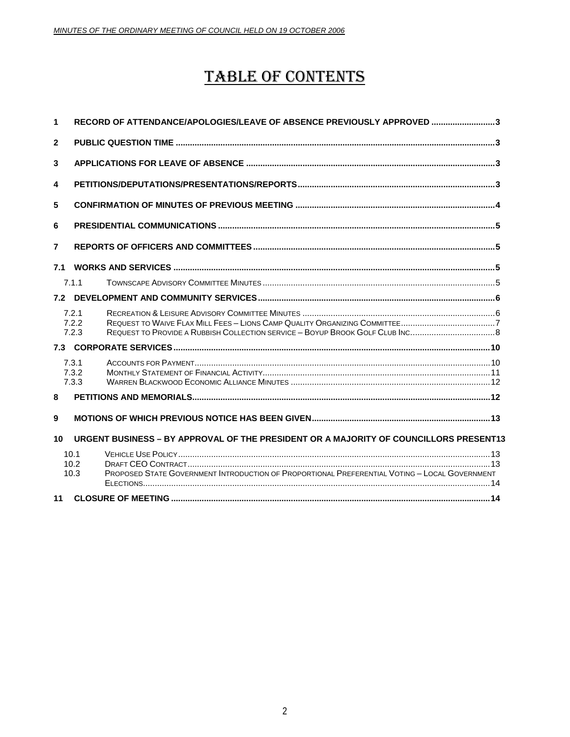## **TABLE OF CONTENTS**

| 1              |                         | RECORD OF ATTENDANCE/APOLOGIES/LEAVE OF ABSENCE PREVIOUSLY APPROVED 3                         |  |  |  |
|----------------|-------------------------|-----------------------------------------------------------------------------------------------|--|--|--|
| $\overline{2}$ |                         |                                                                                               |  |  |  |
| 3              |                         |                                                                                               |  |  |  |
| 4              |                         |                                                                                               |  |  |  |
| 5              |                         |                                                                                               |  |  |  |
| 6              |                         |                                                                                               |  |  |  |
| $\overline{7}$ |                         |                                                                                               |  |  |  |
| 7.1            |                         |                                                                                               |  |  |  |
|                | 7.1.1                   |                                                                                               |  |  |  |
| 7.2            |                         |                                                                                               |  |  |  |
|                | 7.2.1<br>7.2.2<br>7.2.3 | REQUEST TO PROVIDE A RUBBISH COLLECTION SERVICE - BOYUP BROOK GOLF CLUB INC8                  |  |  |  |
|                |                         |                                                                                               |  |  |  |
|                | 7.3.1<br>7.3.2<br>7.3.3 |                                                                                               |  |  |  |
| 8              |                         |                                                                                               |  |  |  |
| 9              |                         |                                                                                               |  |  |  |
| 10             |                         | URGENT BUSINESS - BY APPROVAL OF THE PRESIDENT OR A MAJORITY OF COUNCILLORS PRESENT13         |  |  |  |
|                | 10.1<br>10.2<br>10.3    | PROPOSED STATE GOVERNMENT INTRODUCTION OF PROPORTIONAL PREFERENTIAL VOTING - LOCAL GOVERNMENT |  |  |  |
| 11             |                         |                                                                                               |  |  |  |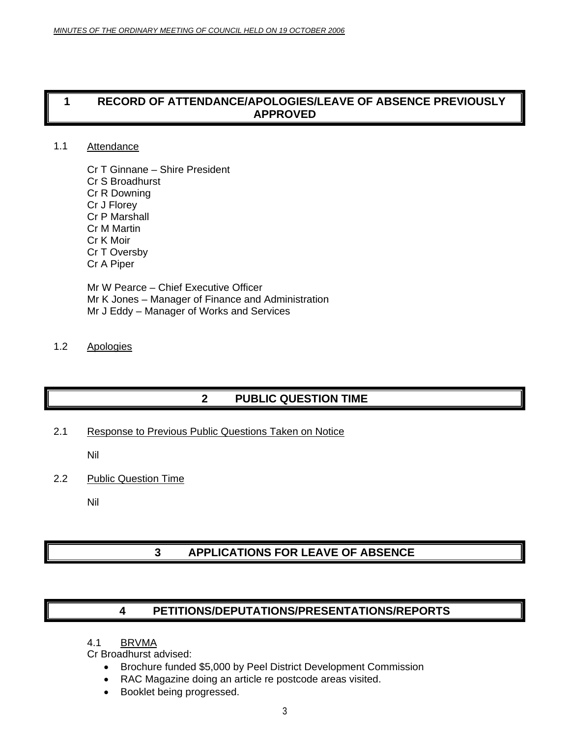## <span id="page-2-0"></span>**1 RECORD OF ATTENDANCE/APOLOGIES/LEAVE OF ABSENCE PREVIOUSLY APPROVED**

### 1.1 Attendance

Cr T Ginnane – Shire President Cr S Broadhurst Cr R Downing Cr J Florey Cr P Marshall Cr M Martin Cr K Moir Cr T Oversby Cr A Piper

Mr W Pearce – Chief Executive Officer Mr K Jones – Manager of Finance and Administration Mr J Eddy – Manager of Works and Services

### 1.2 Apologies

## **2 PUBLIC QUESTION TIME**

2.1 Response to Previous Public Questions Taken on Notice

Nil

2.2 Public Question Time

Nil

## **3 APPLICATIONS FOR LEAVE OF ABSENCE**

### **4 PETITIONS/DEPUTATIONS/PRESENTATIONS/REPORTS**

4.1 BRVMA

Cr Broadhurst advised:

- Brochure funded \$5,000 by Peel District Development Commission
- RAC Magazine doing an article re postcode areas visited.
- Booklet being progressed.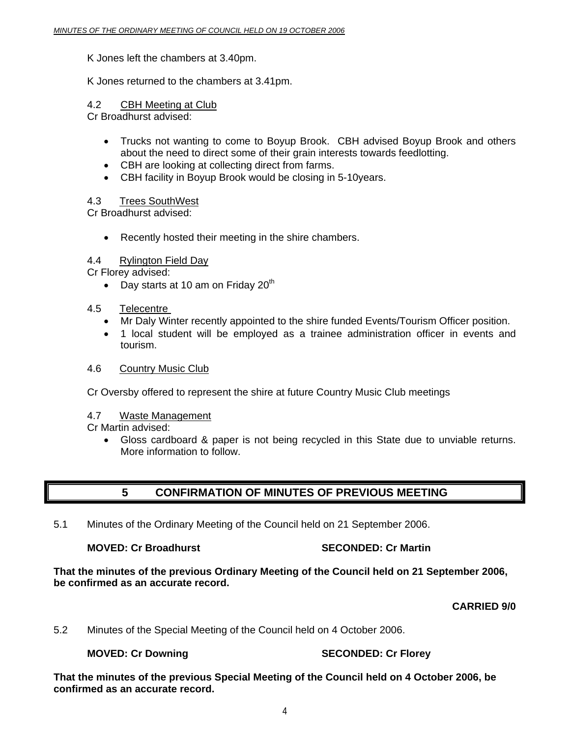### <span id="page-3-0"></span>K Jones left the chambers at 3.40pm.

### K Jones returned to the chambers at 3.41pm.

### 4.2 CBH Meeting at Club

Cr Broadhurst advised:

- Trucks not wanting to come to Boyup Brook. CBH advised Boyup Brook and others about the need to direct some of their grain interests towards feedlotting.
- CBH are looking at collecting direct from farms.
- CBH facility in Boyup Brook would be closing in 5-10years.

### 4.3 Trees SouthWest

Cr Broadhurst advised:

• Recently hosted their meeting in the shire chambers.

### 4.4 Rylington Field Day

Cr Florey advised:

• Day starts at 10 am on Friday  $20<sup>th</sup>$ 

### 4.5 Telecentre

- Mr Daly Winter recently appointed to the shire funded Events/Tourism Officer position.
- 1 local student will be employed as a trainee administration officer in events and tourism.

### 4.6 Country Music Club

Cr Oversby offered to represent the shire at future Country Music Club meetings

### 4.7 Waste Management

### Cr Martin advised:

• Gloss cardboard & paper is not being recycled in this State due to unviable returns. More information to follow.

## **5 CONFIRMATION OF MINUTES OF PREVIOUS MEETING**

5.1 Minutes of the Ordinary Meeting of the Council held on 21 September 2006.

### **MOVED: Cr Broadhurst Communisty Cr Martin Cr Martin Cr Martin**

**That the minutes of the previous Ordinary Meeting of the Council held on 21 September 2006, be confirmed as an accurate record.**

### **CARRIED 9/0**

5.2 Minutes of the Special Meeting of the Council held on 4 October 2006.

### **MOVED: Cr Downing Case Connect SECONDED: Cr Florey**

**That the minutes of the previous Special Meeting of the Council held on 4 October 2006, be confirmed as an accurate record.**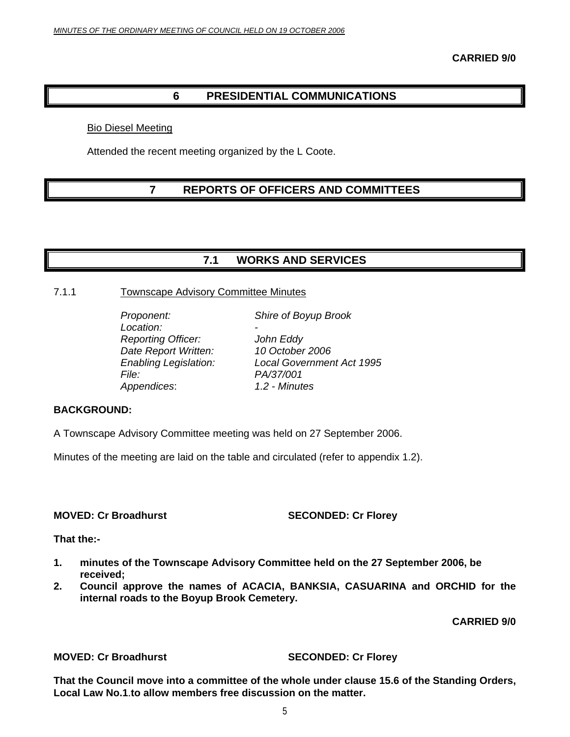## **6 PRESIDENTIAL COMMUNICATIONS**

### <span id="page-4-0"></span>Bio Diesel Meeting

Attended the recent meeting organized by the L Coote.

## **7 REPORTS OF OFFICERS AND COMMITTEES**

### **7.1 WORKS AND SERVICES**

### 7.1.1 Townscape Advisory Committee Minutes

Location:  *Reporting Officer: John Eddy Date Report Written: 10 October 2006 File: PA/37/001 Appendices*: *1.2 - Minutes* 

*Proponent: Shire of Boyup Brook* 

 *Enabling Legislation: Local Government Act 1995* 

### **BACKGROUND:**

A Townscape Advisory Committee meeting was held on 27 September 2006.

Minutes of the meeting are laid on the table and circulated (refer to appendix 1.2).

**MOVED: Cr Broadhurst SECONDED: Cr Florey** 

**That the:-** 

- **1. minutes of the Townscape Advisory Committee held on the 27 September 2006, be received;**
- **2. Council approve the names of ACACIA, BANKSIA, CASUARINA and ORCHID for the internal roads to the Boyup Brook Cemetery.**

**CARRIED 9/0** 

### **MOVED: Cr Broadhurst SECONDED: Cr Florey**

**That the Council move into a committee of the whole under clause 15.6 of the Standing Orders, Local Law No.1**.**to allow members free discussion on the matter.**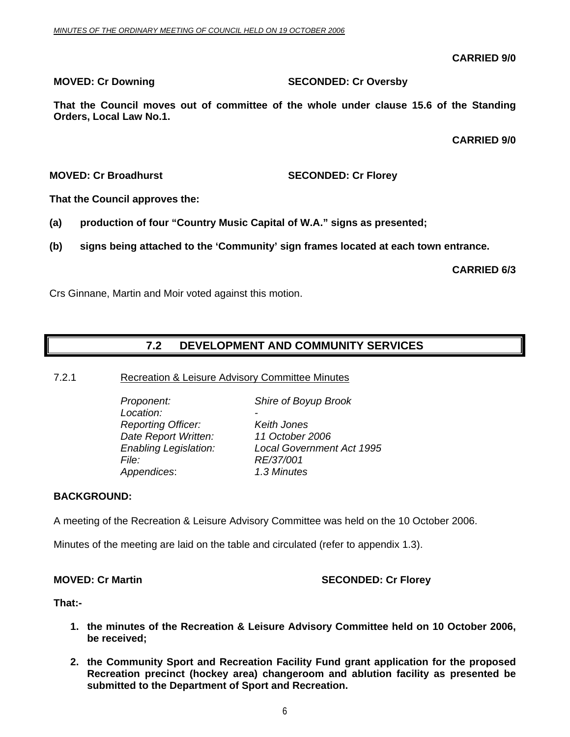**CARRIED 9/0** 

### <span id="page-5-0"></span>**MOVED: Cr Downing SECONDED: Cr Oversby**

**That the Council moves out of committee of the whole under clause 15.6 of the Standing Orders, Local Law No.1.** 

**CARRIED 9/0** 

**MOVED: Cr Broadhurst SECONDED: Cr Florey** 

**That the Council approves the:** 

- **(a) production of four "Country Music Capital of W.A." signs as presented;**
- **(b) signs being attached to the 'Community' sign frames located at each town entrance.**

**CARRIED 6/3** 

Crs Ginnane, Martin and Moir voted against this motion.

## **7.2 DEVELOPMENT AND COMMUNITY SERVICES**

7.2.1 Recreation & Leisure Advisory Committee Minutes

 *Proponent: Shire of Boyup Brook*  Location:  *Reporting Officer: Keith Jones Date Report Written: 11 October 2006 File: RE/37/001 Appendices*: *1.3 Minutes*

 *Enabling Legislation: Local Government Act 1995* 

### **BACKGROUND:**

A meeting of the Recreation & Leisure Advisory Committee was held on the 10 October 2006.

Minutes of the meeting are laid on the table and circulated (refer to appendix 1.3).

### **MOVED: Cr Martin SECONDED: Cr Florey ATTLE SECONDED: Cr Florey**

**That:-** 

- **1. the minutes of the Recreation & Leisure Advisory Committee held on 10 October 2006, be received;**
- **2. the Community Sport and Recreation Facility Fund grant application for the proposed Recreation precinct (hockey area) changeroom and ablution facility as presented be submitted to the Department of Sport and Recreation.**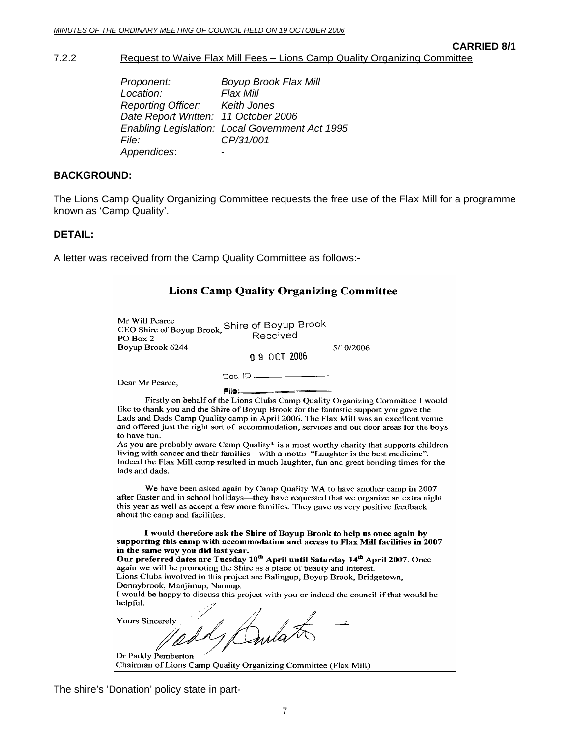### **CARRIED 8/1**

### <span id="page-6-0"></span>7.2.2 Request to Waive Flax Mill Fees – Lions Camp Quality Organizing Committee

| Proponent:                           | <b>Boyup Brook Flax Mill</b>                           |
|--------------------------------------|--------------------------------------------------------|
| Location:                            | Flax Mill                                              |
| Reporting Officer: Keith Jones       |                                                        |
| Date Report Written: 11 October 2006 |                                                        |
|                                      | <b>Enabling Legislation: Local Government Act 1995</b> |
| <i>File:</i>                         | CP/31/001                                              |
| Appendices:                          |                                                        |

### **BACKGROUND:**

The Lions Camp Quality Organizing Committee requests the free use of the Flax Mill for a programme known as 'Camp Quality'.

### **DETAIL:**

A letter was received from the Camp Quality Committee as follows:-

| <b>Lions Camp Quality Organizing Committee</b>                                                                                                                                                                                                                                                                                                                                                                                                                                                                                                                                                                                                                               |  |  |  |  |  |
|------------------------------------------------------------------------------------------------------------------------------------------------------------------------------------------------------------------------------------------------------------------------------------------------------------------------------------------------------------------------------------------------------------------------------------------------------------------------------------------------------------------------------------------------------------------------------------------------------------------------------------------------------------------------------|--|--|--|--|--|
| Mr Will Pearce<br>CEO Shire of Boyup Brook, Shire of Boyup Brook<br>Received<br>PO Box 2<br>Boyup Brook 6244<br>5/10/2006<br>0 9 OCT 2006                                                                                                                                                                                                                                                                                                                                                                                                                                                                                                                                    |  |  |  |  |  |
| Doc. ID: ________<br>Dear Mr Pearce,<br><b>FIIe:_________________</b>                                                                                                                                                                                                                                                                                                                                                                                                                                                                                                                                                                                                        |  |  |  |  |  |
| Firstly on behalf of the Lions Clubs Camp Quality Organizing Committee I would<br>like to thank you and the Shire of Boyup Brook for the fantastic support you gave the<br>Lads and Dads Camp Quality camp in April 2006. The Flax Mill was an excellent venue<br>and offered just the right sort of accommodation, services and out door areas for the boys<br>to have fun.<br>As you are probably aware Camp Quality* is a most worthy charity that supports children<br>living with cancer and their families—with a motto "Laughter is the best medicine".<br>Indeed the Flax Mill camp resulted in much laughter, fun and great bonding times for the<br>lads and dads. |  |  |  |  |  |
| We have been asked again by Camp Quality WA to have another camp in 2007<br>after Easter and in school holidays—they have requested that we organize an extra night<br>this year as well as accept a few more families. They gave us very positive feedback<br>about the camp and facilities.                                                                                                                                                                                                                                                                                                                                                                                |  |  |  |  |  |
| I would therefore ask the Shire of Boyup Brook to help us once again by<br>supporting this camp with accommodation and access to Flax Mill facilities in 2007<br>in the same way you did last year.<br>Our preferred dates are Tuesday 10 <sup>th</sup> April until Saturday 14 <sup>th</sup> April 2007. Once<br>again we will be promoting the Shire as a place of beguty and interest                                                                                                                                                                                                                                                                                     |  |  |  |  |  |

ag omoting the Shire as a place of beauty and interest. Lions Clubs involved in this project are Balingup, Boyup Brook, Bridgetown, Donnybrook, Manjimup, Nannup.

I would be happy to discuss this project with you or indeed the council if that would be helpful.

 $\overline{\mathbf{r}}$ 

**Yours Sincerely** Dula

 $\prime$ Dr Paddy Pemberton Chairman of Lions Camp Quality Organizing Committee (Flax Mill)

The shire's 'Donation' policy state in part-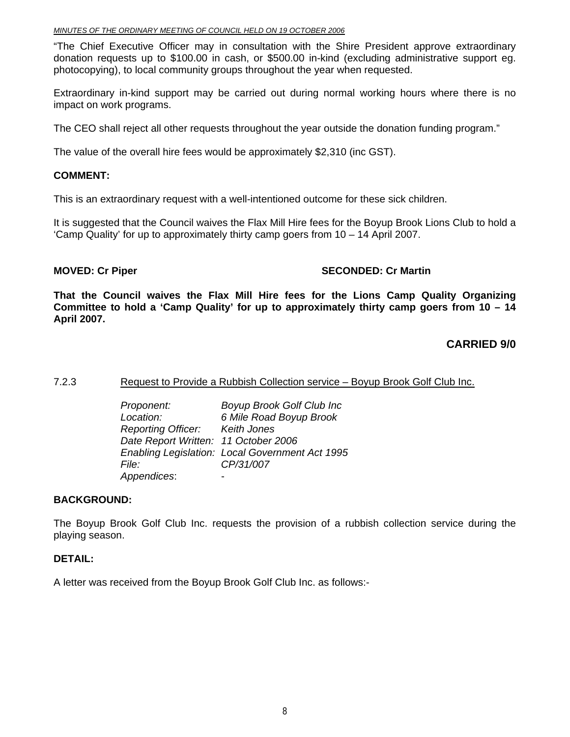### <span id="page-7-0"></span>*MINUTES OF THE ORDINARY MEETING OF COUNCIL HELD ON 19 OCTOBER 2006*

"The Chief Executive Officer may in consultation with the Shire President approve extraordinary donation requests up to \$100.00 in cash, or \$500.00 in-kind (excluding administrative support eg. photocopying), to local community groups throughout the year when requested.

Extraordinary in-kind support may be carried out during normal working hours where there is no impact on work programs.

The CEO shall reject all other requests throughout the year outside the donation funding program."

The value of the overall hire fees would be approximately \$2,310 (inc GST).

### **COMMENT:**

This is an extraordinary request with a well-intentioned outcome for these sick children.

It is suggested that the Council waives the Flax Mill Hire fees for the Boyup Brook Lions Club to hold a 'Camp Quality' for up to approximately thirty camp goers from 10 – 14 April 2007.

### **MOVED: Cr Piper SECONDED: Cr Martin**  SECONDED: Cr Martin **SECONDED: Cr Martin**

**That the Council waives the Flax Mill Hire fees for the Lions Camp Quality Organizing Committee to hold a 'Camp Quality' for up to approximately thirty camp goers from 10 – 14 April 2007.** 

### **CARRIED 9/0**

### 7.2.3 Request to Provide a Rubbish Collection service – Boyup Brook Golf Club Inc.

 *Proponent: Boyup Brook Golf Club Inc Location: 6 Mile Road Boyup Brook Reporting Officer: Keith Jones Date Report Written: 11 October 2006 Enabling Legislation: Local Government Act 1995 File: CP/31/007 Appendices*: -

### **BACKGROUND:**

The Boyup Brook Golf Club Inc. requests the provision of a rubbish collection service during the playing season.

### **DETAIL:**

A letter was received from the Boyup Brook Golf Club Inc. as follows:-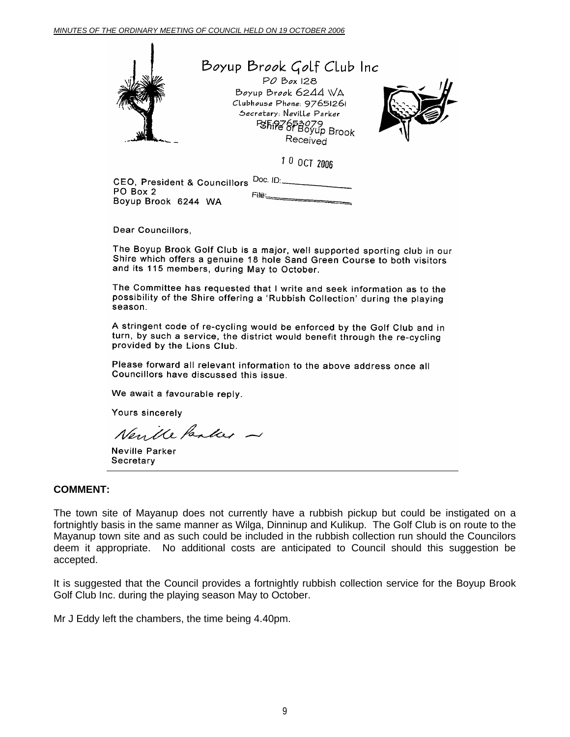

## Boyup Brook Golf Club Inc

PO Box 128 Boyup Brook 6244 WA Clubhouse Phone: 97651261 Secretary: Neville Parker PSFIRE OF BOYUP Brook Received



10 OCT 2006

CEO, President & Councillors Doc. ID: PO Box 2 Boyup Brook 6244 WA

 $File =$ 

Dear Councillors,

The Boyup Brook Golf Club is a major, well supported sporting club in our Shire which offers a genuine 18 hole Sand Green Course to both visitors and its 115 members, during May to October.

The Committee has requested that I write and seek information as to the possibility of the Shire offering a 'Rubbish Collection' during the playing season.

A stringent code of re-cycling would be enforced by the Golf Club and in turn, by such a service, the district would benefit through the re-cycling provided by the Lions Club.

Please forward all relevant information to the above address once all Councillors have discussed this issue.

We await a favourable reply.

Yours sincerely

Neuille Pauleer -

Neville Parker Secretary

### **COMMENT:**

The town site of Mayanup does not currently have a rubbish pickup but could be instigated on a fortnightly basis in the same manner as Wilga, Dinninup and Kulikup. The Golf Club is on route to the Mayanup town site and as such could be included in the rubbish collection run should the Councilors deem it appropriate. No additional costs are anticipated to Council should this suggestion be accepted.

It is suggested that the Council provides a fortnightly rubbish collection service for the Boyup Brook Golf Club Inc. during the playing season May to October.

Mr J Eddy left the chambers, the time being 4.40pm.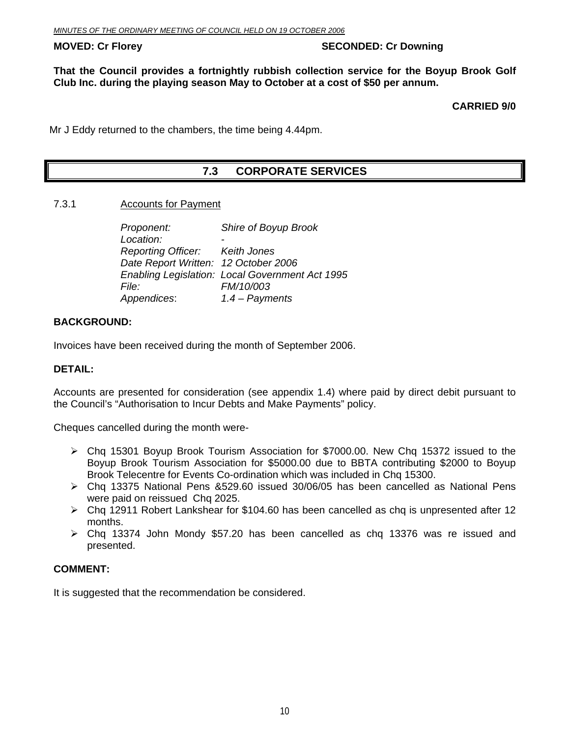### <span id="page-9-0"></span>**MOVED: Cr Florey Case Conducts Account Account SECONDED: Cr Downing**

**That the Council provides a fortnightly rubbish collection service for the Boyup Brook Golf Club Inc. during the playing season May to October at a cost of \$50 per annum.** 

**CARRIED 9/0** 

Mr J Eddy returned to the chambers, the time being 4.44pm.

## **7.3 CORPORATE SERVICES**

### 7.3.1 Accounts for Payment

| Proponent:                           | Shire of Boyup Brook                            |
|--------------------------------------|-------------------------------------------------|
| Location:                            |                                                 |
| Reporting Officer: Keith Jones       |                                                 |
| Date Report Written: 12 October 2006 |                                                 |
|                                      | Enabling Legislation: Local Government Act 1995 |
| <i>File:</i>                         | FM/10/003                                       |
| Appendices:                          | $1.4$ – Payments                                |

### **BACKGROUND:**

Invoices have been received during the month of September 2006.

### **DETAIL:**

Accounts are presented for consideration (see appendix 1.4) where paid by direct debit pursuant to the Council's "Authorisation to Incur Debts and Make Payments" policy.

Cheques cancelled during the month were-

- ¾ Chq 15301 Boyup Brook Tourism Association for \$7000.00. New Chq 15372 issued to the Boyup Brook Tourism Association for \$5000.00 due to BBTA contributing \$2000 to Boyup Brook Telecentre for Events Co-ordination which was included in Chq 15300.
- $\triangleright$  Chq 13375 National Pens &529.60 issued 30/06/05 has been cancelled as National Pens were paid on reissued Cha 2025.
- $\triangleright$  Chq 12911 Robert Lankshear for \$104.60 has been cancelled as chq is unpresented after 12 months.
- $\triangleright$  Chq 13374 John Mondy \$57.20 has been cancelled as chq 13376 was re issued and presented.

### **COMMENT:**

It is suggested that the recommendation be considered.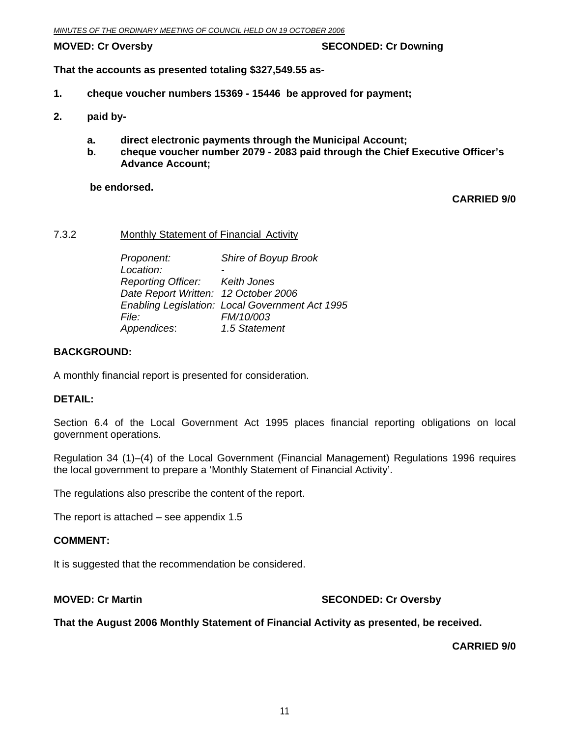### <span id="page-10-0"></span>**MOVED: Cr Oversby SECONDED: Cr Downing 1999**

**That the accounts as presented totaling \$327,549.55 as-**

- **1. cheque voucher numbers 15369 15446 be approved for payment;**
- **2. paid by** 
	- **a. direct electronic payments through the Municipal Account;**
	- **b. cheque voucher number 2079 2083 paid through the Chief Executive Officer's Advance Account;**

 **be endorsed.** 

**CARRIED 9/0** 

### 7.3.2 Monthly Statement of Financial Activity

| Proponent:                           | Shire of Boyup Brook                            |
|--------------------------------------|-------------------------------------------------|
| Location:                            |                                                 |
| Reporting Officer: Keith Jones       |                                                 |
| Date Report Written: 12 October 2006 |                                                 |
|                                      | Enabling Legislation: Local Government Act 1995 |
| <i>File:</i>                         | FM/10/003                                       |
| Appendices:                          | 1.5 Statement                                   |

### **BACKGROUND:**

A monthly financial report is presented for consideration.

### **DETAIL:**

Section 6.4 of the Local Government Act 1995 places financial reporting obligations on local government operations.

Regulation 34 (1)–(4) of the Local Government (Financial Management) Regulations 1996 requires the local government to prepare a 'Monthly Statement of Financial Activity'.

The regulations also prescribe the content of the report.

The report is attached – see appendix 1.5

### **COMMENT:**

It is suggested that the recommendation be considered.

### **MOVED: Cr Martin SECONDED: Cr Oversby**

### **That the August 2006 Monthly Statement of Financial Activity as presented, be received.**

**CARRIED 9/0**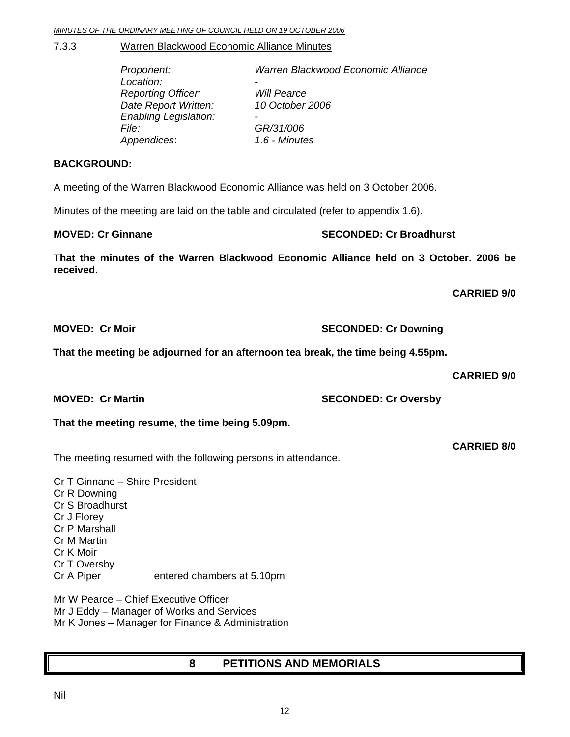Nil

 $12$ 

### <span id="page-11-0"></span>7.3.3 Warren Blackwood Economic Alliance Minutes

| Proponent:                   | Warren Blackwood Economic Alliance |
|------------------------------|------------------------------------|
| Location:                    | -                                  |
| <b>Reporting Officer:</b>    | <b>Will Pearce</b>                 |
| Date Report Written:         | 10 October 2006                    |
| <b>Enabling Legislation:</b> | $\overline{\phantom{0}}$           |
| <i>File:</i>                 | GR/31/006                          |
| Appendices:                  | 1.6 - Minutes                      |

### **BACKGROUND:**

A meeting of the Warren Blackwood Economic Alliance was held on 3 October 2006.

Minutes of the meeting are laid on the table and circulated (refer to appendix 1.6).

### **MOVED: Cr Ginnane SECONDED: Cr Broadhurst**  SECONDED: Cr Broadhurst

**That the minutes of the Warren Blackwood Economic Alliance held on 3 October. 2006 be received.** 

**CARRIED 9/0** 

**That the meeting be adjourned for an afternoon tea break, the time being 4.55pm.** 

**CARRIED 9/0** 

## **That the meeting resume, the time being 5.09pm.**

The meeting resumed with the following persons in attendance.

Cr T Ginnane – Shire President Cr R Downing Cr S Broadhurst Cr J Florey Cr P Marshall Cr M Martin Cr K Moir Cr T Oversby Cr A Piper entered chambers at 5.10pm

Mr W Pearce – Chief Executive Officer Mr J Eddy – Manager of Works and Services Mr K Jones – Manager for Finance & Administration

## **8 PETITIONS AND MEMORIALS**

**MOVED: Cr Moir SECONDED: Cr Downing** 

**MOVED: Cr Martin SECONDED: Cr Oversby** 

**CARRIED 8/0**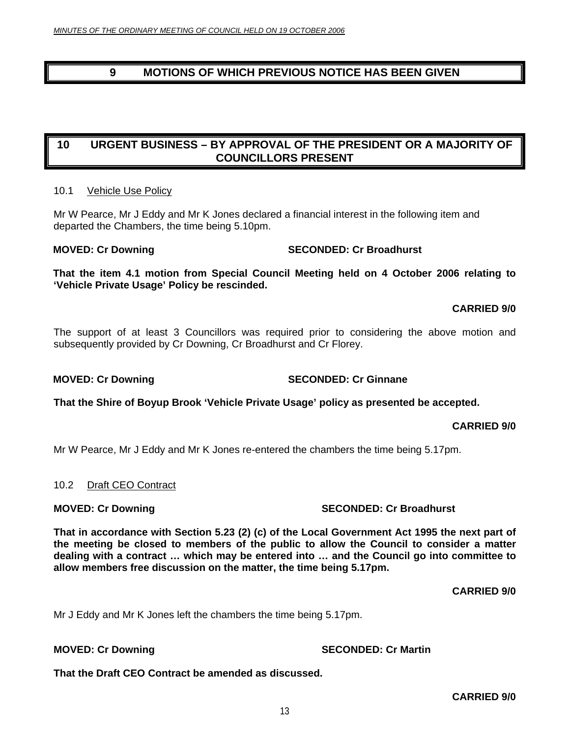## <span id="page-12-0"></span>**9 MOTIONS OF WHICH PREVIOUS NOTICE HAS BEEN GIVEN**

## **10 URGENT BUSINESS – BY APPROVAL OF THE PRESIDENT OR A MAJORITY OF COUNCILLORS PRESENT**

### 10.1 Vehicle Use Policy

Mr W Pearce, Mr J Eddy and Mr K Jones declared a financial interest in the following item and departed the Chambers, the time being 5.10pm.

**That the item 4.1 motion from Special Council Meeting held on 4 October 2006 relating to 'Vehicle Private Usage' Policy be rescinded.** 

### **CARRIED 9/0**

The support of at least 3 Councillors was required prior to considering the above motion and subsequently provided by Cr Downing, Cr Broadhurst and Cr Florey.

**That the Shire of Boyup Brook 'Vehicle Private Usage' policy as presented be accepted.** 

### **CARRIED 9/0**

Mr W Pearce, Mr J Eddy and Mr K Jones re-entered the chambers the time being 5.17pm.

### 10.2 Draft CEO Contract

**That in accordance with Section 5.23 (2) (c) of the Local Government Act 1995 the next part of the meeting be closed to members of the public to allow the Council to consider a matter dealing with a contract … which may be entered into … and the Council go into committee to allow members free discussion on the matter, the time being 5.17pm.** 

**CARRIED 9/0** 

Mr J Eddy and Mr K Jones left the chambers the time being 5.17pm.

**MOVED: Cr Downing Case Conducts Account SECONDED: Cr Martin** 

**That the Draft CEO Contract be amended as discussed.** 

### **MOVED: Cr Downing Case 2018 10:00 SECONDED: Cr Broadhurst**

## **MOVED: Cr Downing The SECONDED: Cr Broadhurst**

**MOVED: Cr Downing The SECONDED: Cr Ginnane**